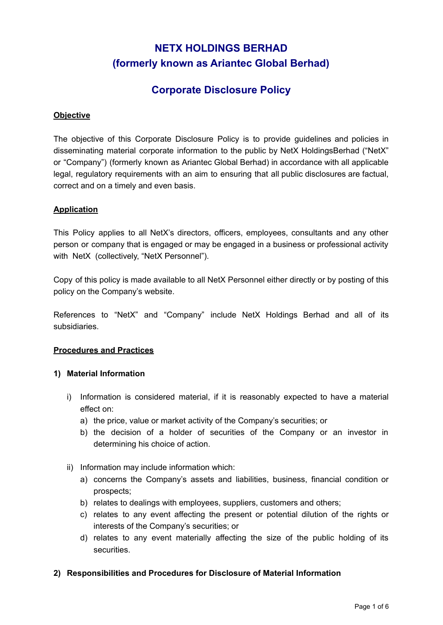# **NETX HOLDINGS BERHAD (formerly known as Ariantec Global Berhad)**

# **Corporate Disclosure Policy**

# **Objective**

The objective of this Corporate Disclosure Policy is to provide guidelines and policies in disseminating material corporate information to the public by NetX HoldingsBerhad ("NetX" or "Company") (formerly known as Ariantec Global Berhad) in accordance with all applicable legal, regulatory requirements with an aim to ensuring that all public disclosures are factual, correct and on a timely and even basis.

#### **Application**

This Policy applies to all NetX's directors, officers, employees, consultants and any other person or company that is engaged or may be engaged in a business or professional activity with NetX (collectively, "NetX Personnel").

Copy of this policy is made available to all NetX Personnel either directly or by posting of this policy on the Company's website.

References to "NetX" and "Company" include NetX Holdings Berhad and all of its subsidiaries.

#### **Procedures and Practices**

#### **1) Material Information**

- i) Information is considered material, if it is reasonably expected to have a material effect on:
	- a) the price, value or market activity of the Company's securities; or
	- b) the decision of a holder of securities of the Company or an investor in determining his choice of action.
- ii) Information may include information which:
	- a) concerns the Company's assets and liabilities, business, financial condition or prospects;
	- b) relates to dealings with employees, suppliers, customers and others;
	- c) relates to any event affecting the present or potential dilution of the rights or interests of the Company's securities; or
	- d) relates to any event materially affecting the size of the public holding of its securities.
- **2) Responsibilities and Procedures for Disclosure of Material Information**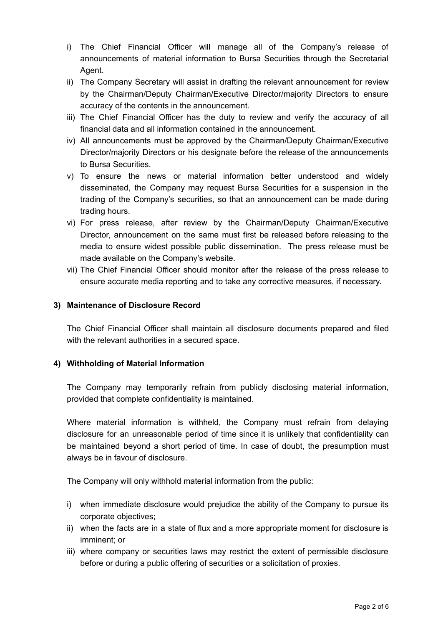- i) The Chief Financial Officer will manage all of the Company's release of announcements of material information to Bursa Securities through the Secretarial Agent.
- ii) The Company Secretary will assist in drafting the relevant announcement for review by the Chairman/Deputy Chairman/Executive Director/majority Directors to ensure accuracy of the contents in the announcement.
- iii) The Chief Financial Officer has the duty to review and verify the accuracy of all financial data and all information contained in the announcement.
- iv) All announcements must be approved by the Chairman/Deputy Chairman/Executive Director/majority Directors or his designate before the release of the announcements to Bursa Securities.
- v) To ensure the news or material information better understood and widely disseminated, the Company may request Bursa Securities for a suspension in the trading of the Company's securities, so that an announcement can be made during trading hours.
- vi) For press release, after review by the Chairman/Deputy Chairman/Executive Director, announcement on the same must first be released before releasing to the media to ensure widest possible public dissemination. The press release must be made available on the Company's website.
- vii) The Chief Financial Officer should monitor after the release of the press release to ensure accurate media reporting and to take any corrective measures, if necessary.

## **3) Maintenance of Disclosure Record**

The Chief Financial Officer shall maintain all disclosure documents prepared and filed with the relevant authorities in a secured space.

# **4) Withholding of Material Information**

The Company may temporarily refrain from publicly disclosing material information, provided that complete confidentiality is maintained.

Where material information is withheld, the Company must refrain from delaying disclosure for an unreasonable period of time since it is unlikely that confidentiality can be maintained beyond a short period of time. In case of doubt, the presumption must always be in favour of disclosure.

The Company will only withhold material information from the public:

- i) when immediate disclosure would prejudice the ability of the Company to pursue its corporate objectives;
- ii) when the facts are in a state of flux and a more appropriate moment for disclosure is imminent; or
- iii) where company or securities laws may restrict the extent of permissible disclosure before or during a public offering of securities or a solicitation of proxies.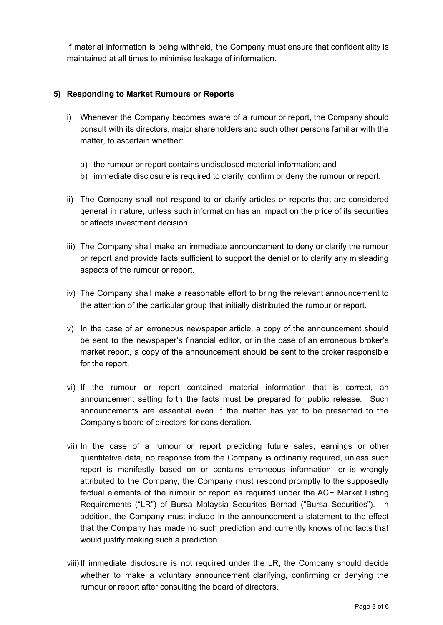If material information is being withheld, the Company must ensure that confidentiality is maintained at all times to minimise leakage of information.

# **5) Responding to Market Rumours or Reports**

- i) Whenever the Company becomes aware of a rumour or report, the Company should consult with its directors, major shareholders and such other persons familiar with the matter, to ascertain whether:
	- a) the rumour or report contains undisclosed material information; and
	- b) immediate disclosure is required to clarify, confirm or deny the rumour or report.
- ii) The Company shall not respond to or clarify articles or reports that are considered general in nature, unless such information has an impact on the price of its securities or affects investment decision.
- iii) The Company shall make an immediate announcement to deny or clarify the rumour or report and provide facts sufficient to support the denial or to clarify any misleading aspects of the rumour or report.
- iv) The Company shall make a reasonable effort to bring the relevant announcement to the attention of the particular group that initially distributed the rumour or report.
- v) In the case of an erroneous newspaper article, a copy of the announcement should be sent to the newspaper's financial editor, or in the case of an erroneous broker's market report, a copy of the announcement should be sent to the broker responsible for the report.
- vi) If the rumour or report contained material information that is correct, an announcement setting forth the facts must be prepared for public release. Such announcements are essential even if the matter has yet to be presented to the Company's board of directors for consideration.
- vii) In the case of a rumour or report predicting future sales, earnings or other quantitative data, no response from the Company is ordinarily required, unless such report is manifestly based on or contains erroneous information, or is wrongly attributed to the Company, the Company must respond promptly to the supposedly factual elements of the rumour or report as required under the ACE Market Listing Requirements ("LR") of Bursa Malaysia Securites Berhad ("Bursa Securities"). In addition, the Company must include in the announcement a statement to the effect that the Company has made no such prediction and currently knows of no facts that would justify making such a prediction.
- viii)If immediate disclosure is not required under the LR, the Company should decide whether to make a voluntary announcement clarifying, confirming or denying the rumour or report after consulting the board of directors.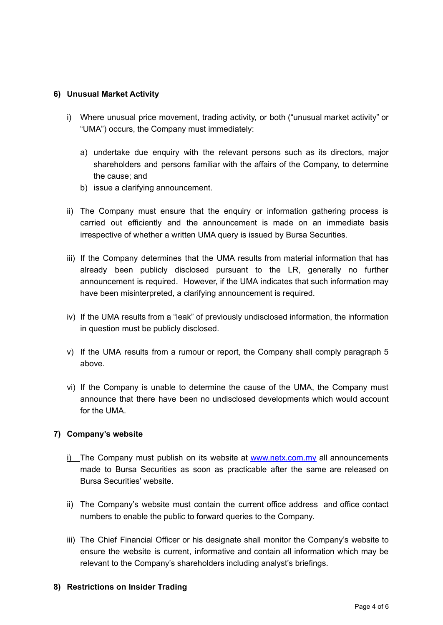# **6) Unusual Market Activity**

- i) Where unusual price movement, trading activity, or both ("unusual market activity" or "UMA") occurs, the Company must immediately:
	- a) undertake due enquiry with the relevant persons such as its directors, major shareholders and persons familiar with the affairs of the Company, to determine the cause; and
	- b) issue a clarifying announcement.
- ii) The Company must ensure that the enquiry or information gathering process is carried out efficiently and the announcement is made on an immediate basis irrespective of whether a written UMA query is issued by Bursa Securities.
- iii) If the Company determines that the UMA results from material information that has already been publicly disclosed pursuant to the LR, generally no further announcement is required. However, if the UMA indicates that such information may have been misinterpreted, a clarifying announcement is required.
- iv) If the UMA results from a "leak" of previously undisclosed information, the information in question must be publicly disclosed.
- v) If the UMA results from a rumour or report, the Company shall comply paragraph 5 above.
- vi) If the Company is unable to determine the cause of the UMA, the Company must announce that there have been no undisclosed developments which would account for the UMA.

#### **7) Company's website**

- i) The Company must publish on its website at [www.netx.com.my](http://www.netx.com.my) all announcements made to Bursa Securities as soon as practicable after the same are released on Bursa Securities' website.
- ii) The Company's website must contain the current office address and office contact numbers to enable the public to forward queries to the Company.
- iii) The Chief Financial Officer or his designate shall monitor the Company's website to ensure the website is current, informative and contain all information which may be relevant to the Company's shareholders including analyst's briefings.

#### **8) Restrictions on Insider Trading**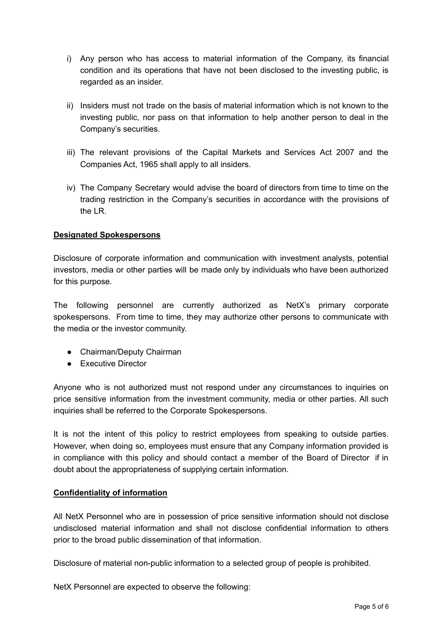- i) Any person who has access to material information of the Company, its financial condition and its operations that have not been disclosed to the investing public, is regarded as an insider.
- ii) Insiders must not trade on the basis of material information which is not known to the investing public, nor pass on that information to help another person to deal in the Company's securities.
- iii) The relevant provisions of the Capital Markets and Services Act 2007 and the Companies Act, 1965 shall apply to all insiders.
- iv) The Company Secretary would advise the board of directors from time to time on the trading restriction in the Company's securities in accordance with the provisions of the LR.

## **Designated Spokespersons**

Disclosure of corporate information and communication with investment analysts, potential investors, media or other parties will be made only by individuals who have been authorized for this purpose.

The following personnel are currently authorized as NetX's primary corporate spokespersons. From time to time, they may authorize other persons to communicate with the media or the investor community.

- Chairman/Deputy Chairman
- Executive Director

Anyone who is not authorized must not respond under any circumstances to inquiries on price sensitive information from the investment community, media or other parties. All such inquiries shall be referred to the Corporate Spokespersons.

It is not the intent of this policy to restrict employees from speaking to outside parties. However, when doing so, employees must ensure that any Company information provided is in compliance with this policy and should contact a member of the Board of Director if in doubt about the appropriateness of supplying certain information.

# **Confidentiality of information**

All NetX Personnel who are in possession of price sensitive information should not disclose undisclosed material information and shall not disclose confidential information to others prior to the broad public dissemination of that information.

Disclosure of material non-public information to a selected group of people is prohibited.

NetX Personnel are expected to observe the following: